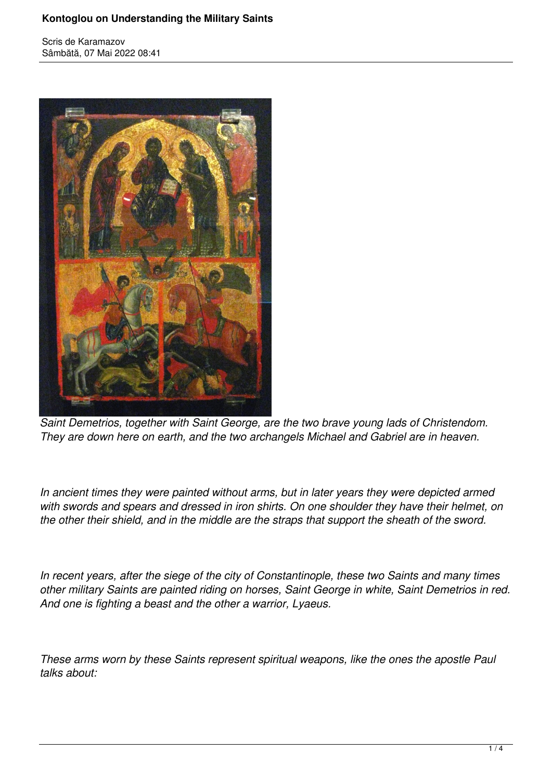## **Kontoglou on Understanding the Military Saints**

Scris de Karamazov Sâmbătă, 07 Mai 2022 08:41



*Saint Demetrios, together with Saint George, are the two brave young lads of Christendom. They are down here on earth, and the two archangels Michael and Gabriel are in heaven.*

*In ancient times they were painted without arms, but in later years they were depicted armed with swords and spears and dressed in iron shirts. On one shoulder they have their helmet, on the other their shield, and in the middle are the straps that support the sheath of the sword.*

*In recent years, after the siege of the city of Constantinople, these two Saints and many times other military Saints are painted riding on horses, Saint George in white, Saint Demetrios in red. And one is fighting a beast and the other a warrior, Lyaeus.*

*These arms worn by these Saints represent spiritual weapons, like the ones the apostle Paul talks about:*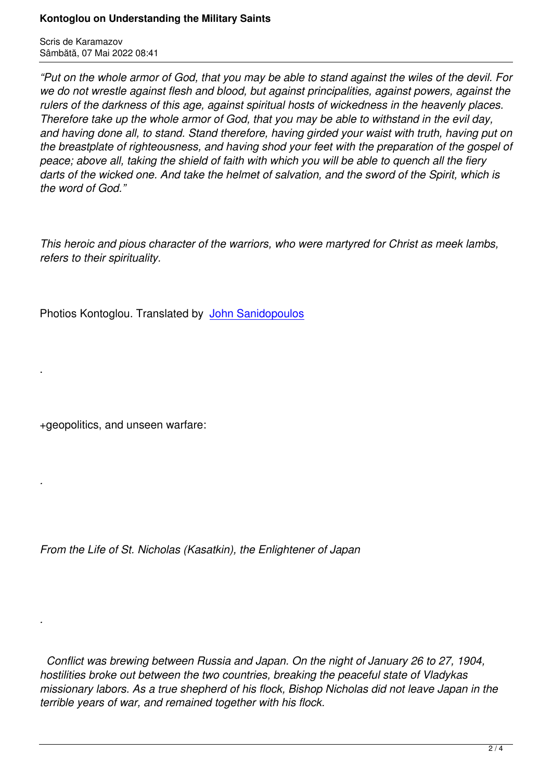*"Put on the whole armor of God, that you may be able to stand against the wiles of the devil. For we do not wrestle against flesh and blood, but against principalities, against powers, against the rulers of the darkness of this age, against spiritual hosts of wickedness in the heavenly places. Therefore take up the whole armor of God, that you may be able to withstand in the evil day, and having done all, to stand. Stand therefore, having girded your waist with truth, having put on the breastplate of righteousness, and having shod your feet with the preparation of the gospel of peace; above all, taking the shield of faith with which you will be able to quench all the fiery darts of the wicked one. And take the helmet of salvation, and the sword of the Spirit, which is the word of God."*

*This heroic and pious character of the warriors, who were martyred for Christ as meek lambs, refers to their spirituality.*

Photios Kontoglou. Translated by John Sanidopoulos

+geopolitics, and unseen warfare:

.

*.*

*.*

*From the Life of St. Nicholas (Kasatkin), the Enlightener of Japan*

 *Conflict was brewing between Russia and Japan. On the night of January 26 to 27, 1904, hostilities broke out between the two countries, breaking the peaceful state of Vladykas missionary labors. As a true shepherd of his flock, Bishop Nicholas did not leave Japan in the terrible years of war, and remained together with his flock.*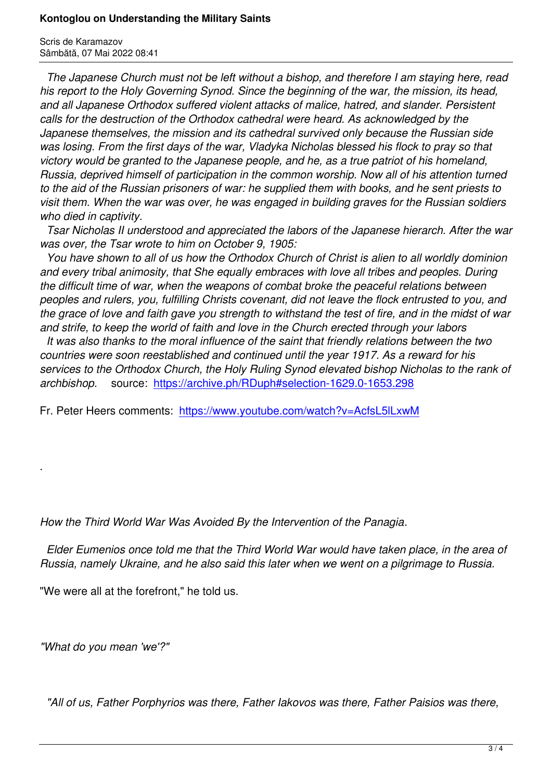*The Japanese Church must not be left without a bishop, and therefore I am staying here, read his report to the Holy Governing Synod. Since the beginning of the war, the mission, its head, and all Japanese Orthodox suffered violent attacks of malice, hatred, and slander. Persistent calls for the destruction of the Orthodox cathedral were heard. As acknowledged by the Japanese themselves, the mission and its cathedral survived only because the Russian side was losing. From the first days of the war, Vladyka Nicholas blessed his flock to pray so that victory would be granted to the Japanese people, and he, as a true patriot of his homeland, Russia, deprived himself of participation in the common worship. Now all of his attention turned to the aid of the Russian prisoners of war: he supplied them with books, and he sent priests to visit them. When the war was over, he was engaged in building graves for the Russian soldiers who died in captivity.*

 *Tsar Nicholas II understood and appreciated the labors of the Japanese hierarch. After the war was over, the Tsar wrote to him on October 9, 1905:* 

 *You have shown to all of us how the Orthodox Church of Christ is alien to all worldly dominion and every tribal animosity, that She equally embraces with love all tribes and peoples. During the difficult time of war, when the weapons of combat broke the peaceful relations between peoples and rulers, you, fulfilling Christs covenant, did not leave the flock entrusted to you, and the grace of love and faith gave you strength to withstand the test of fire, and in the midst of war and strife, to keep the world of faith and love in the Church erected through your labors* 

 *It was also thanks to the moral influence of the saint that friendly relations between the two countries were soon reestablished and continued until the year 1917. As a reward for his services to the Orthodox Church, the Holy Ruling Synod elevated bishop Nicholas to the rank of archbishop.* source: https://archive.ph/RDuph#selection-1629.0-1653.298

Fr. Peter Heers comments: https://www.youtube.com/watch?v=AcfsL5lLxwM

*How the Third World War Was Avoided By the Intervention of the Panagia*.

 *Elder Eumenios once told me that the Third World War would have taken place, in the area of Russia, namely Ukraine, and he also said this later when we went on a pilgrimage to Russia.*

"We were all at the forefront," he told us.

*"What do you mean 'we'?"*

.

*"All of us, Father Porphyrios was there, Father Iakovos was there, Father Paisios was there,*